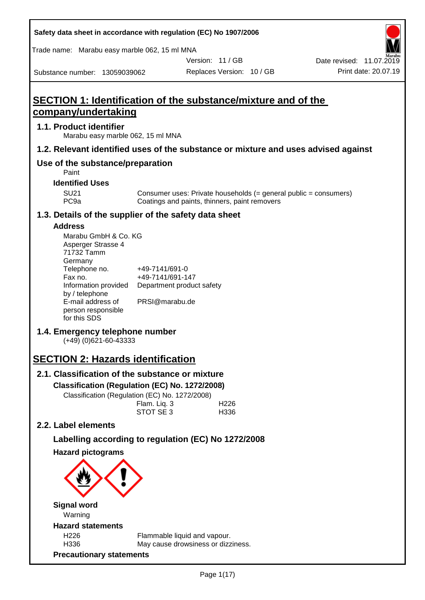| Safety data sheet in accordance with regulation (EC) No 1907/2006                  |                                    |                                               |                           |                                                                    |
|------------------------------------------------------------------------------------|------------------------------------|-----------------------------------------------|---------------------------|--------------------------------------------------------------------|
| Trade name: Marabu easy marble 062, 15 ml MNA                                      |                                    |                                               |                           |                                                                    |
|                                                                                    |                                    |                                               | Version: 11 / GB          | Date revised: 11.07.2019                                           |
| Substance number: 13059039062                                                      |                                    |                                               | Replaces Version: 10 / GB | Print date: 20.07.19                                               |
|                                                                                    |                                    |                                               |                           |                                                                    |
| <b>SECTION 1: Identification of the substance/mixture and of the</b>               |                                    |                                               |                           |                                                                    |
| company/undertaking                                                                |                                    |                                               |                           |                                                                    |
| 1.1. Product identifier<br>Marabu easy marble 062, 15 ml MNA                       |                                    |                                               |                           |                                                                    |
| 1.2. Relevant identified uses of the substance or mixture and uses advised against |                                    |                                               |                           |                                                                    |
| Use of the substance/preparation<br>Paint                                          |                                    |                                               |                           |                                                                    |
| <b>Identified Uses</b>                                                             |                                    |                                               |                           |                                                                    |
| <b>SU21</b><br>PC <sub>9a</sub>                                                    |                                    | Coatings and paints, thinners, paint removers |                           | Consumer uses: Private households $(=$ general public = consumers) |
| 1.3. Details of the supplier of the safety data sheet                              |                                    |                                               |                           |                                                                    |
| <b>Address</b>                                                                     |                                    |                                               |                           |                                                                    |
| Marabu GmbH & Co. KG<br>Asperger Strasse 4<br>71732 Tamm<br>Germany                |                                    |                                               |                           |                                                                    |
| Telephone no.<br>Fax no.                                                           | +49-7141/691-0<br>+49-7141/691-147 |                                               |                           |                                                                    |
| Information provided<br>by / telephone<br>E-mail address of                        | PRSI@marabu.de                     | Department product safety                     |                           |                                                                    |
| person responsible<br>for this SDS                                                 |                                    |                                               |                           |                                                                    |
| 1.4. Emergency telephone number<br>$(+49)$ (0)621-60-43333                         |                                    |                                               |                           |                                                                    |
| <b>SECTION 2: Hazards identification</b>                                           |                                    |                                               |                           |                                                                    |
| 2.1. Classification of the substance or mixture                                    |                                    |                                               |                           |                                                                    |
| Classification (Regulation (EC) No. 1272/2008)                                     |                                    |                                               |                           |                                                                    |
| Classification (Regulation (EC) No. 1272/2008)                                     |                                    |                                               |                           |                                                                    |
|                                                                                    | Flam. Liq. 3                       |                                               | H <sub>226</sub>          |                                                                    |
|                                                                                    | STOT SE3                           |                                               | H336                      |                                                                    |
| 2.2. Label elements                                                                |                                    |                                               |                           |                                                                    |
| Labelling according to regulation (EC) No 1272/2008                                |                                    |                                               |                           |                                                                    |
| <b>Hazard pictograms</b>                                                           |                                    |                                               |                           |                                                                    |
|                                                                                    |                                    |                                               |                           |                                                                    |
| <b>Signal word</b><br>Warning                                                      |                                    |                                               |                           |                                                                    |
| <b>Hazard statements</b>                                                           |                                    |                                               |                           |                                                                    |
| H <sub>226</sub>                                                                   |                                    | Flammable liquid and vapour.                  |                           |                                                                    |
| H336                                                                               |                                    | May cause drowsiness or dizziness.            |                           |                                                                    |
| <b>Precautionary statements</b>                                                    |                                    |                                               |                           |                                                                    |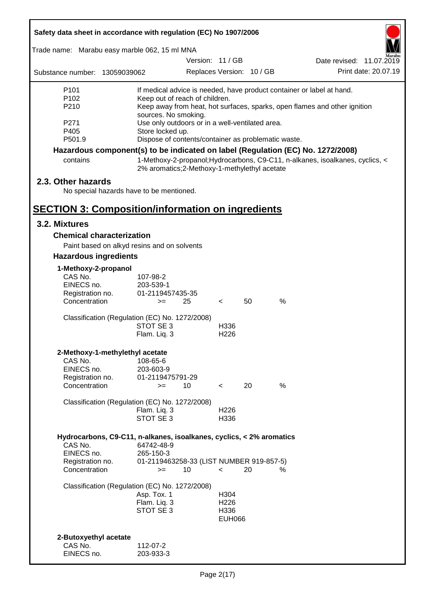| Safety data sheet in accordance with regulation (EC) No 1907/2006                             |                                                                                                                                                                                                                                                                                     |                  |                                                   |                           |                                                                                                                                                                  |  |
|-----------------------------------------------------------------------------------------------|-------------------------------------------------------------------------------------------------------------------------------------------------------------------------------------------------------------------------------------------------------------------------------------|------------------|---------------------------------------------------|---------------------------|------------------------------------------------------------------------------------------------------------------------------------------------------------------|--|
| Trade name: Marabu easy marble 062, 15 ml MNA                                                 |                                                                                                                                                                                                                                                                                     |                  |                                                   |                           |                                                                                                                                                                  |  |
|                                                                                               |                                                                                                                                                                                                                                                                                     | Version: 11 / GB |                                                   |                           | Date revised: 11.07.2019                                                                                                                                         |  |
| Substance number: 13059039062                                                                 |                                                                                                                                                                                                                                                                                     |                  |                                                   | Replaces Version: 10 / GB | Print date: 20.07.19                                                                                                                                             |  |
| P <sub>101</sub><br>P102<br>P210<br>P271<br>P405                                              | If medical advice is needed, have product container or label at hand.<br>Keep out of reach of children.<br>Keep away from heat, hot surfaces, sparks, open flames and other ignition<br>sources. No smoking.<br>Use only outdoors or in a well-ventilated area.<br>Store locked up. |                  |                                                   |                           |                                                                                                                                                                  |  |
| P501.9                                                                                        | Dispose of contents/container as problematic waste.                                                                                                                                                                                                                                 |                  |                                                   |                           |                                                                                                                                                                  |  |
| contains                                                                                      | 2% aromatics;2-Methoxy-1-methylethyl acetate                                                                                                                                                                                                                                        |                  |                                                   |                           | Hazardous component(s) to be indicated on label (Regulation (EC) No. 1272/2008)<br>1-Methoxy-2-propanol; Hydrocarbons, C9-C11, n-alkanes, isoalkanes, cyclics, < |  |
| 2.3. Other hazards<br>No special hazards have to be mentioned.                                |                                                                                                                                                                                                                                                                                     |                  |                                                   |                           |                                                                                                                                                                  |  |
| <b>SECTION 3: Composition/information on ingredients</b>                                      |                                                                                                                                                                                                                                                                                     |                  |                                                   |                           |                                                                                                                                                                  |  |
| 3.2. Mixtures                                                                                 |                                                                                                                                                                                                                                                                                     |                  |                                                   |                           |                                                                                                                                                                  |  |
| <b>Chemical characterization</b><br>Paint based on alkyd resins and on solvents               |                                                                                                                                                                                                                                                                                     |                  |                                                   |                           |                                                                                                                                                                  |  |
| <b>Hazardous ingredients</b>                                                                  |                                                                                                                                                                                                                                                                                     |                  |                                                   |                           |                                                                                                                                                                  |  |
| 1-Methoxy-2-propanol<br>CAS No.<br>EINECS no.<br>Registration no.<br>Concentration            | 107-98-2<br>203-539-1<br>01-2119457435-35<br>$>=$                                                                                                                                                                                                                                   | 25               | $\lt$                                             | 50                        | %                                                                                                                                                                |  |
| Classification (Regulation (EC) No. 1272/2008)                                                | STOT SE 3<br>Flam. Liq. 3                                                                                                                                                                                                                                                           |                  | H336<br>H <sub>226</sub>                          |                           |                                                                                                                                                                  |  |
| 2-Methoxy-1-methylethyl acetate<br>CAS No.<br>EINECS no.<br>Registration no.<br>Concentration | 108-65-6<br>203-603-9<br>01-2119475791-29<br>$>=$                                                                                                                                                                                                                                   | 10               | $\overline{\phantom{a}}$                          | 20                        | $\%$                                                                                                                                                             |  |
| Classification (Regulation (EC) No. 1272/2008)                                                | Flam. Liq. 3<br>STOT SE 3                                                                                                                                                                                                                                                           |                  | H226<br>H336                                      |                           |                                                                                                                                                                  |  |
| Hydrocarbons, C9-C11, n-alkanes, isoalkanes, cyclics, < 2% aromatics<br>CAS No.<br>EINECS no. | 64742-48-9<br>265-150-3                                                                                                                                                                                                                                                             |                  |                                                   |                           |                                                                                                                                                                  |  |
| Registration no.<br>Concentration                                                             | 01-2119463258-33 (LIST NUMBER 919-857-5)<br>$>=$                                                                                                                                                                                                                                    | 10               | $\,<\,$                                           | 20                        | ℅                                                                                                                                                                |  |
| Classification (Regulation (EC) No. 1272/2008)                                                | Asp. Tox. 1<br>Flam. Liq. 3<br>STOT SE 3                                                                                                                                                                                                                                            |                  | H304<br>H <sub>226</sub><br>H336<br><b>EUH066</b> |                           |                                                                                                                                                                  |  |
| 2-Butoxyethyl acetate<br>CAS No.<br>EINECS no.                                                | 112-07-2<br>203-933-3                                                                                                                                                                                                                                                               |                  |                                                   |                           |                                                                                                                                                                  |  |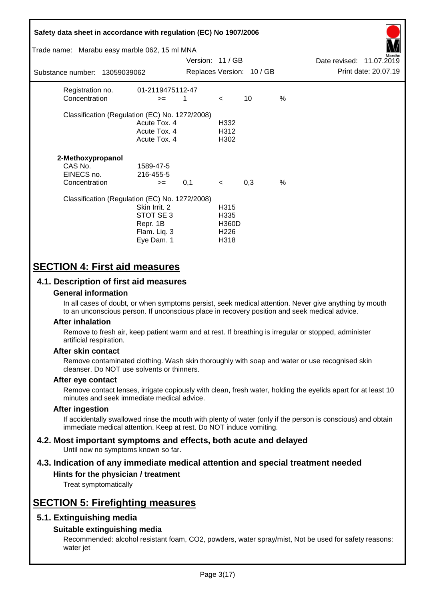| Safety data sheet in accordance with regulation (EC) No 1907/2006<br>Trade name: Marabu easy marble 062, 15 ml MNA |                                                                      |                  |                                                          |                           |               |                          | arabu                |
|--------------------------------------------------------------------------------------------------------------------|----------------------------------------------------------------------|------------------|----------------------------------------------------------|---------------------------|---------------|--------------------------|----------------------|
|                                                                                                                    |                                                                      | Version: 11 / GB |                                                          |                           |               | Date revised: 11.07.2019 |                      |
| Substance number: 13059039062                                                                                      |                                                                      |                  |                                                          | Replaces Version: 10 / GB |               |                          | Print date: 20.07.19 |
| Registration no.<br>Concentration                                                                                  | 01-2119475112-47<br>$>=$                                             | 1                | $\lt$                                                    | 10                        | $\frac{0}{0}$ |                          |                      |
| Classification (Regulation (EC) No. 1272/2008)                                                                     | Acute Tox. 4<br>Acute Tox. 4<br>Acute Tox. 4                         |                  | H332<br>H312<br>H302                                     |                           |               |                          |                      |
| 2-Methoxypropanol<br>CAS No.<br>EINECS no.<br>Concentration                                                        | 1589-47-5<br>216-455-5<br>$>=$                                       | 0,1              | $\prec$                                                  | 0,3                       | $\frac{0}{0}$ |                          |                      |
| Classification (Regulation (EC) No. 1272/2008)                                                                     | Skin Irrit, 2<br>STOT SE 3<br>Repr. 1B<br>Flam. Liq. 3<br>Eye Dam. 1 |                  | H315<br>H335<br><b>H360D</b><br>H <sub>226</sub><br>H318 |                           |               |                          |                      |

# **SECTION 4: First aid measures**

## **4.1. Description of first aid measures**

### **General information**

In all cases of doubt, or when symptoms persist, seek medical attention. Never give anything by mouth to an unconscious person. If unconscious place in recovery position and seek medical advice.

### **After inhalation**

Remove to fresh air, keep patient warm and at rest. If breathing is irregular or stopped, administer artificial respiration.

### **After skin contact**

Remove contaminated clothing. Wash skin thoroughly with soap and water or use recognised skin cleanser. Do NOT use solvents or thinners.

### **After eye contact**

Remove contact lenses, irrigate copiously with clean, fresh water, holding the eyelids apart for at least 10 minutes and seek immediate medical advice.

### **After ingestion**

If accidentally swallowed rinse the mouth with plenty of water (only if the person is conscious) and obtain immediate medical attention. Keep at rest. Do NOT induce vomiting.

#### **4.2. Most important symptoms and effects, both acute and delayed** Until now no symptoms known so far.

# **4.3. Indication of any immediate medical attention and special treatment needed**

## **Hints for the physician / treatment**

Treat symptomatically

# **SECTION 5: Firefighting measures**

## **5.1. Extinguishing media**

### **Suitable extinguishing media**

Recommended: alcohol resistant foam, CO2, powders, water spray/mist, Not be used for safety reasons: water jet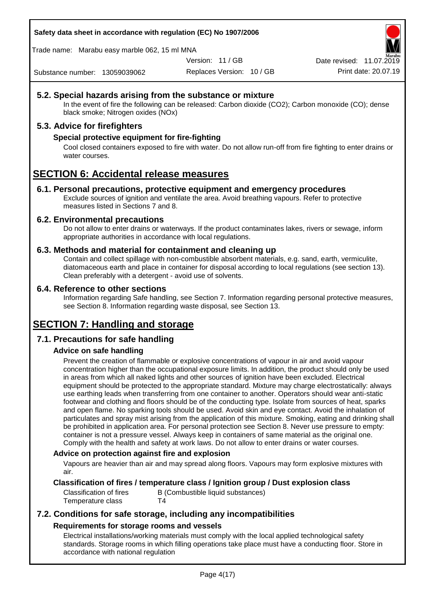**Safety data sheet in accordance with regulation (EC) No 1907/2006**

Trade name: Marabu easy marble 062, 15 ml MNA

Version: 11 / GB

Date revised: 11.07.2019

Substance number: 13059039062

Replaces Version: 10 / GB Print date: 20.07.19

## **5.2. Special hazards arising from the substance or mixture**

In the event of fire the following can be released: Carbon dioxide (CO2); Carbon monoxide (CO); dense black smoke; Nitrogen oxides (NOx)

## **5.3. Advice for firefighters**

## **Special protective equipment for fire-fighting**

Cool closed containers exposed to fire with water. Do not allow run-off from fire fighting to enter drains or water courses.

# **SECTION 6: Accidental release measures**

### **6.1. Personal precautions, protective equipment and emergency procedures**

Exclude sources of ignition and ventilate the area. Avoid breathing vapours. Refer to protective measures listed in Sections 7 and 8.

### **6.2. Environmental precautions**

Do not allow to enter drains or waterways. If the product contaminates lakes, rivers or sewage, inform appropriate authorities in accordance with local regulations.

### **6.3. Methods and material for containment and cleaning up**

Contain and collect spillage with non-combustible absorbent materials, e.g. sand, earth, vermiculite, diatomaceous earth and place in container for disposal according to local regulations (see section 13). Clean preferably with a detergent - avoid use of solvents.

### **6.4. Reference to other sections**

Information regarding Safe handling, see Section 7. Information regarding personal protective measures, see Section 8. Information regarding waste disposal, see Section 13.

# **SECTION 7: Handling and storage**

## **7.1. Precautions for safe handling**

## **Advice on safe handling**

Prevent the creation of flammable or explosive concentrations of vapour in air and avoid vapour concentration higher than the occupational exposure limits. In addition, the product should only be used in areas from which all naked lights and other sources of ignition have been excluded. Electrical equipment should be protected to the appropriate standard. Mixture may charge electrostatically: always use earthing leads when transferring from one container to another. Operators should wear anti-static footwear and clothing and floors should be of the conducting type. Isolate from sources of heat, sparks and open flame. No sparking tools should be used. Avoid skin and eye contact. Avoid the inhalation of particulates and spray mist arising from the application of this mixture. Smoking, eating and drinking shall be prohibited in application area. For personal protection see Section 8. Never use pressure to empty: container is not a pressure vessel. Always keep in containers of same material as the original one. Comply with the health and safety at work laws. Do not allow to enter drains or water courses.

### **Advice on protection against fire and explosion**

Vapours are heavier than air and may spread along floors. Vapours may form explosive mixtures with air.

## **Classification of fires / temperature class / Ignition group / Dust explosion class**

Classification of fires B (Combustible liquid substances) Temperature class T4

## **7.2. Conditions for safe storage, including any incompatibilities Requirements for storage rooms and vessels**

Electrical installations/working materials must comply with the local applied technological safety standards. Storage rooms in which filling operations take place must have a conducting floor. Store in accordance with national regulation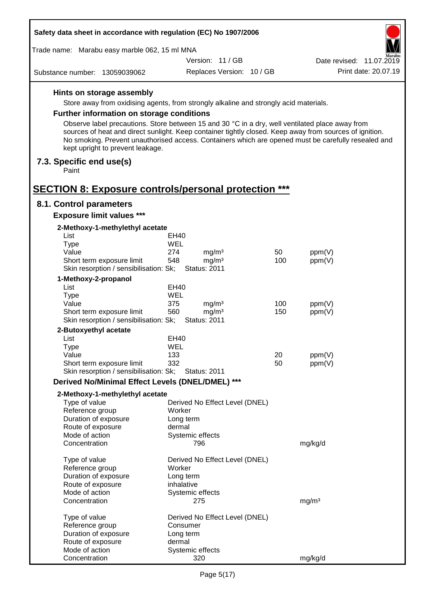| Safety data sheet in accordance with regulation (EC) No 1907/2006   |                                                                                                                                                                                                                |     |                          |  |  |
|---------------------------------------------------------------------|----------------------------------------------------------------------------------------------------------------------------------------------------------------------------------------------------------------|-----|--------------------------|--|--|
| Trade name: Marabu easy marble 062, 15 ml MNA                       |                                                                                                                                                                                                                |     | Aarabu                   |  |  |
|                                                                     | Version: 11 / GB                                                                                                                                                                                               |     | Date revised: 11.07.2019 |  |  |
| Substance number: 13059039062                                       | Replaces Version: 10 / GB                                                                                                                                                                                      |     | Print date: 20.07.19     |  |  |
| Hints on storage assembly                                           |                                                                                                                                                                                                                |     |                          |  |  |
|                                                                     | Store away from oxidising agents, from strongly alkaline and strongly acid materials.                                                                                                                          |     |                          |  |  |
| <b>Further information on storage conditions</b>                    |                                                                                                                                                                                                                |     |                          |  |  |
|                                                                     | Observe label precautions. Store between 15 and 30 °C in a dry, well ventilated place away from                                                                                                                |     |                          |  |  |
| kept upright to prevent leakage.                                    | sources of heat and direct sunlight. Keep container tightly closed. Keep away from sources of ignition.<br>No smoking. Prevent unauthorised access. Containers which are opened must be carefully resealed and |     |                          |  |  |
| 7.3. Specific end use(s)<br>Paint                                   |                                                                                                                                                                                                                |     |                          |  |  |
| <b>SECTION 8: Exposure controls/personal protection ***</b>         |                                                                                                                                                                                                                |     |                          |  |  |
| 8.1. Control parameters                                             |                                                                                                                                                                                                                |     |                          |  |  |
| <b>Exposure limit values ***</b>                                    |                                                                                                                                                                                                                |     |                          |  |  |
| 2-Methoxy-1-methylethyl acetate<br>List                             | EH40                                                                                                                                                                                                           |     |                          |  |  |
| <b>Type</b>                                                         | WEL                                                                                                                                                                                                            |     |                          |  |  |
| Value                                                               | 274<br>mg/m <sup>3</sup>                                                                                                                                                                                       | 50  | ppm(V)                   |  |  |
| Short term exposure limit                                           | 548<br>mg/m <sup>3</sup>                                                                                                                                                                                       | 100 | ppm(V)                   |  |  |
| Skin resorption / sensibilisation: Sk;                              | <b>Status: 2011</b>                                                                                                                                                                                            |     |                          |  |  |
| 1-Methoxy-2-propanol                                                |                                                                                                                                                                                                                |     |                          |  |  |
| List                                                                | EH40                                                                                                                                                                                                           |     |                          |  |  |
| <b>Type</b>                                                         | WEL                                                                                                                                                                                                            |     |                          |  |  |
| Value                                                               | 375<br>mg/m <sup>3</sup>                                                                                                                                                                                       | 100 | ppm(V)                   |  |  |
| Short term exposure limit<br>Skin resorption / sensibilisation: Sk; | 560<br>mg/m <sup>3</sup><br><b>Status: 2011</b>                                                                                                                                                                | 150 | ppm(V)                   |  |  |
|                                                                     |                                                                                                                                                                                                                |     |                          |  |  |
| 2-Butoxyethyl acetate<br>List                                       | EH40                                                                                                                                                                                                           |     |                          |  |  |
| Type                                                                | WEL                                                                                                                                                                                                            |     |                          |  |  |
| Value                                                               | 133                                                                                                                                                                                                            | 20  | ppm(V)                   |  |  |
| Short term exposure limit                                           | 332                                                                                                                                                                                                            | 50  | ppm(V)                   |  |  |
| Skin resorption / sensibilisation: Sk;                              | <b>Status: 2011</b>                                                                                                                                                                                            |     |                          |  |  |
| Derived No/Minimal Effect Levels (DNEL/DMEL) ***                    |                                                                                                                                                                                                                |     |                          |  |  |
| 2-Methoxy-1-methylethyl acetate                                     |                                                                                                                                                                                                                |     |                          |  |  |
| Type of value                                                       | Derived No Effect Level (DNEL)                                                                                                                                                                                 |     |                          |  |  |
| Reference group                                                     | Worker                                                                                                                                                                                                         |     |                          |  |  |
| Duration of exposure                                                | Long term                                                                                                                                                                                                      |     |                          |  |  |
| Route of exposure                                                   | dermal                                                                                                                                                                                                         |     |                          |  |  |
| Mode of action<br>Concentration                                     | Systemic effects<br>796                                                                                                                                                                                        |     | mg/kg/d                  |  |  |
|                                                                     |                                                                                                                                                                                                                |     |                          |  |  |
| Type of value                                                       | Derived No Effect Level (DNEL)                                                                                                                                                                                 |     |                          |  |  |
| Reference group                                                     | Worker                                                                                                                                                                                                         |     |                          |  |  |
| Duration of exposure                                                | Long term                                                                                                                                                                                                      |     |                          |  |  |
| Route of exposure                                                   | inhalative                                                                                                                                                                                                     |     |                          |  |  |
| Mode of action<br>Concentration                                     | Systemic effects<br>275                                                                                                                                                                                        |     | mg/m <sup>3</sup>        |  |  |
|                                                                     |                                                                                                                                                                                                                |     |                          |  |  |
| Type of value                                                       | Derived No Effect Level (DNEL)                                                                                                                                                                                 |     |                          |  |  |
| Reference group                                                     | Consumer                                                                                                                                                                                                       |     |                          |  |  |
| Duration of exposure                                                | Long term<br>dermal                                                                                                                                                                                            |     |                          |  |  |
| Route of exposure<br>Mode of action                                 | Systemic effects                                                                                                                                                                                               |     |                          |  |  |
| Concentration                                                       | 320                                                                                                                                                                                                            |     | mg/kg/d                  |  |  |
|                                                                     |                                                                                                                                                                                                                |     |                          |  |  |

 $\Gamma$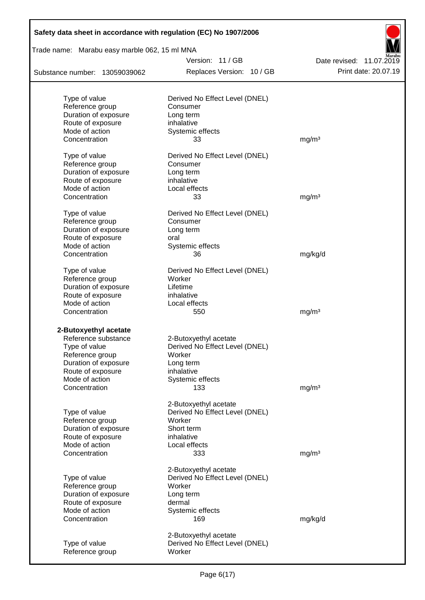| Safety data sheet in accordance with regulation (EC) No 1907/2006 |                                            |                                                  |
|-------------------------------------------------------------------|--------------------------------------------|--------------------------------------------------|
| Trade name: Marabu easy marble 062, 15 ml MNA                     |                                            |                                                  |
|                                                                   | Version: 11 / GB                           | Date revised: 11.07.2019<br>Print date: 20.07.19 |
| Substance number: 13059039062                                     | Replaces Version: 10 / GB                  |                                                  |
| Type of value                                                     | Derived No Effect Level (DNEL)             |                                                  |
| Reference group                                                   | Consumer                                   |                                                  |
| Duration of exposure                                              | Long term                                  |                                                  |
| Route of exposure                                                 | inhalative                                 |                                                  |
| Mode of action                                                    | Systemic effects                           |                                                  |
| Concentration                                                     | 33                                         | mg/m <sup>3</sup>                                |
| Type of value                                                     | Derived No Effect Level (DNEL)             |                                                  |
| Reference group                                                   | Consumer                                   |                                                  |
| Duration of exposure                                              | Long term                                  |                                                  |
| Route of exposure                                                 | inhalative                                 |                                                  |
| Mode of action                                                    | Local effects                              |                                                  |
| Concentration                                                     | 33                                         | mg/m <sup>3</sup>                                |
|                                                                   |                                            |                                                  |
| Type of value<br>Reference group                                  | Derived No Effect Level (DNEL)<br>Consumer |                                                  |
| Duration of exposure                                              |                                            |                                                  |
| Route of exposure                                                 | Long term<br>oral                          |                                                  |
| Mode of action                                                    | Systemic effects                           |                                                  |
| Concentration                                                     | 36                                         | mg/kg/d                                          |
|                                                                   |                                            |                                                  |
| Type of value                                                     | Derived No Effect Level (DNEL)             |                                                  |
| Reference group                                                   | Worker                                     |                                                  |
| Duration of exposure                                              | Lifetime                                   |                                                  |
| Route of exposure                                                 | inhalative                                 |                                                  |
| Mode of action                                                    | Local effects                              |                                                  |
| Concentration                                                     | 550                                        | mg/m <sup>3</sup>                                |
| 2-Butoxyethyl acetate                                             |                                            |                                                  |
| Reference substance                                               | 2-Butoxyethyl acetate                      |                                                  |
| Type of value                                                     | Derived No Effect Level (DNEL)             |                                                  |
| Reference group                                                   | Worker                                     |                                                  |
| Duration of exposure                                              | Long term                                  |                                                  |
| Route of exposure                                                 | inhalative                                 |                                                  |
| Mode of action                                                    | Systemic effects                           |                                                  |
| Concentration                                                     | 133                                        | mg/m <sup>3</sup>                                |
|                                                                   | 2-Butoxyethyl acetate                      |                                                  |
| Type of value                                                     | Derived No Effect Level (DNEL)             |                                                  |
| Reference group                                                   | Worker                                     |                                                  |
| Duration of exposure                                              | Short term                                 |                                                  |
| Route of exposure                                                 | inhalative                                 |                                                  |
| Mode of action                                                    | Local effects                              |                                                  |
| Concentration                                                     | 333                                        | mg/m <sup>3</sup>                                |
|                                                                   |                                            |                                                  |
|                                                                   | 2-Butoxyethyl acetate                      |                                                  |
| Type of value                                                     | Derived No Effect Level (DNEL)             |                                                  |
| Reference group                                                   | Worker                                     |                                                  |
| Duration of exposure                                              | Long term                                  |                                                  |
| Route of exposure                                                 | dermal                                     |                                                  |
| Mode of action                                                    | Systemic effects                           |                                                  |
| Concentration                                                     | 169                                        | mg/kg/d                                          |
|                                                                   | 2-Butoxyethyl acetate                      |                                                  |
| Type of value                                                     | Derived No Effect Level (DNEL)             |                                                  |
| Reference group                                                   | Worker                                     |                                                  |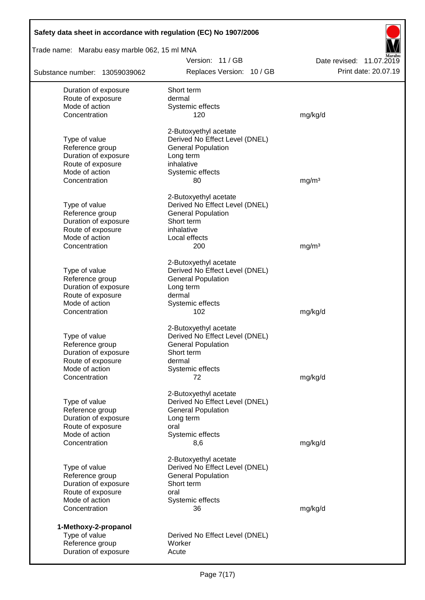| Safety data sheet in accordance with regulation (EC) No 1907/2006 |                                                             |                          |
|-------------------------------------------------------------------|-------------------------------------------------------------|--------------------------|
| Trade name: Marabu easy marble 062, 15 ml MNA                     |                                                             |                          |
|                                                                   | Version: 11/GB                                              | Date revised: 11.07.2019 |
| Substance number: 13059039062                                     | Replaces Version: 10 / GB                                   | Print date: 20.07.19     |
| Duration of exposure                                              | Short term                                                  |                          |
| Route of exposure                                                 | dermal                                                      |                          |
| Mode of action<br>Concentration                                   | Systemic effects<br>120                                     |                          |
|                                                                   |                                                             | mg/kg/d                  |
|                                                                   | 2-Butoxyethyl acetate                                       |                          |
| Type of value<br>Reference group                                  | Derived No Effect Level (DNEL)<br><b>General Population</b> |                          |
| Duration of exposure                                              | Long term                                                   |                          |
| Route of exposure                                                 | inhalative                                                  |                          |
| Mode of action                                                    | Systemic effects                                            |                          |
| Concentration                                                     | 80                                                          | mg/m <sup>3</sup>        |
|                                                                   | 2-Butoxyethyl acetate                                       |                          |
| Type of value                                                     | Derived No Effect Level (DNEL)                              |                          |
| Reference group                                                   | <b>General Population</b>                                   |                          |
| Duration of exposure<br>Route of exposure                         | Short term<br>inhalative                                    |                          |
| Mode of action                                                    | Local effects                                               |                          |
| Concentration                                                     | 200                                                         | mg/m <sup>3</sup>        |
|                                                                   |                                                             |                          |
|                                                                   | 2-Butoxyethyl acetate                                       |                          |
| Type of value<br>Reference group                                  | Derived No Effect Level (DNEL)<br><b>General Population</b> |                          |
| Duration of exposure                                              | Long term                                                   |                          |
| Route of exposure                                                 | dermal                                                      |                          |
| Mode of action                                                    | Systemic effects                                            |                          |
| Concentration                                                     | 102                                                         | mg/kg/d                  |
|                                                                   | 2-Butoxyethyl acetate                                       |                          |
| Type of value                                                     | Derived No Effect Level (DNEL)                              |                          |
| Reference group<br>Duration of exposure                           | <b>General Population</b><br>Short term                     |                          |
| Route of exposure                                                 | dermal                                                      |                          |
| Mode of action                                                    | Systemic effects                                            |                          |
| Concentration                                                     | 72                                                          | mg/kg/d                  |
|                                                                   |                                                             |                          |
| Type of value                                                     | 2-Butoxyethyl acetate<br>Derived No Effect Level (DNEL)     |                          |
| Reference group                                                   | <b>General Population</b>                                   |                          |
| Duration of exposure                                              | Long term                                                   |                          |
| Route of exposure                                                 | oral                                                        |                          |
| Mode of action                                                    | Systemic effects                                            |                          |
| Concentration                                                     | 8,6                                                         | mg/kg/d                  |
|                                                                   | 2-Butoxyethyl acetate                                       |                          |
| Type of value                                                     | Derived No Effect Level (DNEL)                              |                          |
| Reference group<br>Duration of exposure                           | <b>General Population</b><br>Short term                     |                          |
| Route of exposure                                                 | oral                                                        |                          |
| Mode of action                                                    | Systemic effects                                            |                          |
| Concentration                                                     | 36                                                          | mg/kg/d                  |
| 1-Methoxy-2-propanol                                              |                                                             |                          |
| Type of value                                                     | Derived No Effect Level (DNEL)                              |                          |
| Reference group                                                   | Worker                                                      |                          |
| Duration of exposure                                              | Acute                                                       |                          |

Г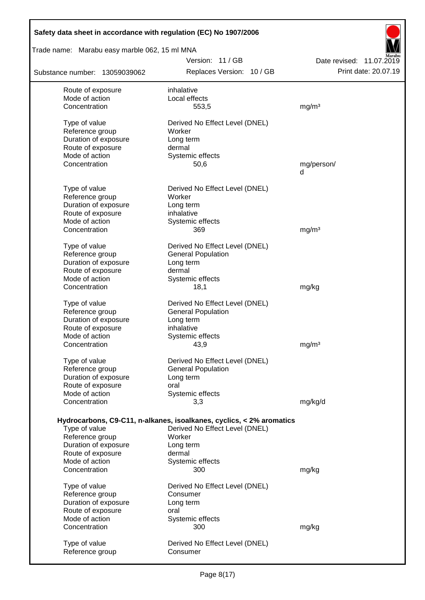| Safety data sheet in accordance with regulation (EC) No 1907/2006 |                                                                      |                                                  |  |  |  |
|-------------------------------------------------------------------|----------------------------------------------------------------------|--------------------------------------------------|--|--|--|
| Trade name: Marabu easy marble 062, 15 ml MNA                     |                                                                      |                                                  |  |  |  |
| Substance number: 13059039062                                     | Version: 11/GB<br>Replaces Version: 10 / GB                          | Date revised: 11.07.2019<br>Print date: 20.07.19 |  |  |  |
| Route of exposure                                                 | inhalative                                                           |                                                  |  |  |  |
| Mode of action                                                    | Local effects                                                        |                                                  |  |  |  |
| Concentration                                                     | 553,5                                                                | mg/m <sup>3</sup>                                |  |  |  |
| Type of value                                                     | Derived No Effect Level (DNEL)                                       |                                                  |  |  |  |
| Reference group                                                   | Worker                                                               |                                                  |  |  |  |
| Duration of exposure                                              | Long term                                                            |                                                  |  |  |  |
| Route of exposure                                                 | dermal                                                               |                                                  |  |  |  |
| Mode of action                                                    | Systemic effects                                                     |                                                  |  |  |  |
| Concentration                                                     | 50,6                                                                 | mg/person/                                       |  |  |  |
|                                                                   |                                                                      | d                                                |  |  |  |
| Type of value                                                     | Derived No Effect Level (DNEL)                                       |                                                  |  |  |  |
| Reference group                                                   | Worker                                                               |                                                  |  |  |  |
| Duration of exposure                                              | Long term                                                            |                                                  |  |  |  |
| Route of exposure                                                 | inhalative                                                           |                                                  |  |  |  |
| Mode of action                                                    | Systemic effects                                                     |                                                  |  |  |  |
| Concentration                                                     | 369                                                                  | mg/m <sup>3</sup>                                |  |  |  |
| Type of value                                                     | Derived No Effect Level (DNEL)                                       |                                                  |  |  |  |
| Reference group                                                   | <b>General Population</b>                                            |                                                  |  |  |  |
| Duration of exposure                                              | Long term                                                            |                                                  |  |  |  |
| Route of exposure                                                 | dermal                                                               |                                                  |  |  |  |
| Mode of action                                                    | Systemic effects                                                     |                                                  |  |  |  |
| Concentration                                                     | 18,1                                                                 | mg/kg                                            |  |  |  |
| Type of value                                                     | Derived No Effect Level (DNEL)                                       |                                                  |  |  |  |
| Reference group                                                   | <b>General Population</b>                                            |                                                  |  |  |  |
| Duration of exposure                                              | Long term                                                            |                                                  |  |  |  |
| Route of exposure                                                 | inhalative                                                           |                                                  |  |  |  |
| Mode of action                                                    | Systemic effects                                                     |                                                  |  |  |  |
| Concentration                                                     | 43,9                                                                 | mg/m <sup>3</sup>                                |  |  |  |
| Type of value                                                     | Derived No Effect Level (DNEL)                                       |                                                  |  |  |  |
| Reference group                                                   | <b>General Population</b>                                            |                                                  |  |  |  |
| Duration of exposure                                              | Long term                                                            |                                                  |  |  |  |
| Route of exposure                                                 | oral                                                                 |                                                  |  |  |  |
| Mode of action<br>Concentration                                   | Systemic effects<br>3,3                                              | mg/kg/d                                          |  |  |  |
|                                                                   |                                                                      |                                                  |  |  |  |
|                                                                   | Hydrocarbons, C9-C11, n-alkanes, isoalkanes, cyclics, < 2% aromatics |                                                  |  |  |  |
| Type of value                                                     | Derived No Effect Level (DNEL)                                       |                                                  |  |  |  |
| Reference group                                                   | Worker                                                               |                                                  |  |  |  |
| Duration of exposure                                              | Long term                                                            |                                                  |  |  |  |
| Route of exposure                                                 | dermal                                                               |                                                  |  |  |  |
| Mode of action<br>Concentration                                   | Systemic effects<br>300                                              |                                                  |  |  |  |
|                                                                   |                                                                      | mg/kg                                            |  |  |  |
| Type of value                                                     | Derived No Effect Level (DNEL)                                       |                                                  |  |  |  |
| Reference group                                                   | Consumer                                                             |                                                  |  |  |  |
| Duration of exposure                                              | Long term                                                            |                                                  |  |  |  |
| Route of exposure                                                 | oral                                                                 |                                                  |  |  |  |
| Mode of action<br>Concentration                                   | Systemic effects<br>300                                              |                                                  |  |  |  |
|                                                                   |                                                                      | mg/kg                                            |  |  |  |
| Type of value                                                     | Derived No Effect Level (DNEL)                                       |                                                  |  |  |  |
| Reference group                                                   | Consumer                                                             |                                                  |  |  |  |
|                                                                   |                                                                      |                                                  |  |  |  |

 $\overline{\phantom{a}}$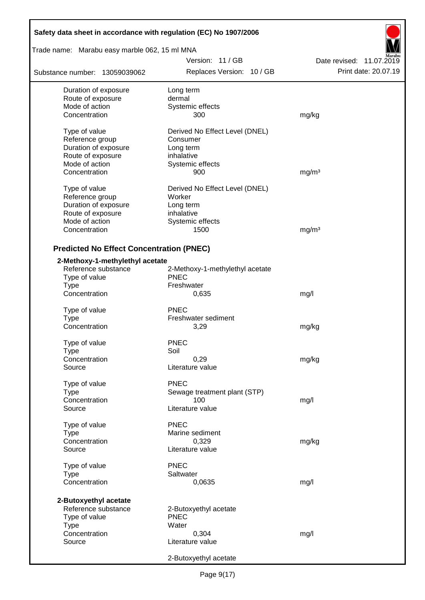| Safety data sheet in accordance with regulation (EC) No 1907/2006 |                                               |                                                  |  |  |  |  |
|-------------------------------------------------------------------|-----------------------------------------------|--------------------------------------------------|--|--|--|--|
| Trade name: Marabu easy marble 062, 15 ml MNA                     |                                               |                                                  |  |  |  |  |
| Substance number: 13059039062                                     | Version: 11 / GB<br>Replaces Version: 10 / GB | Date revised: 11.07.2019<br>Print date: 20.07.19 |  |  |  |  |
| Duration of exposure                                              | Long term                                     |                                                  |  |  |  |  |
| Route of exposure                                                 | dermal                                        |                                                  |  |  |  |  |
| Mode of action                                                    | Systemic effects                              |                                                  |  |  |  |  |
| Concentration                                                     | 300                                           | mg/kg                                            |  |  |  |  |
| Type of value                                                     | Derived No Effect Level (DNEL)                |                                                  |  |  |  |  |
| Reference group                                                   | Consumer                                      |                                                  |  |  |  |  |
| Duration of exposure                                              | Long term                                     |                                                  |  |  |  |  |
| Route of exposure                                                 | inhalative                                    |                                                  |  |  |  |  |
| Mode of action                                                    | Systemic effects                              |                                                  |  |  |  |  |
| Concentration                                                     | 900                                           | mg/m <sup>3</sup>                                |  |  |  |  |
| Type of value                                                     | Derived No Effect Level (DNEL)                |                                                  |  |  |  |  |
| Reference group                                                   | Worker                                        |                                                  |  |  |  |  |
| Duration of exposure                                              | Long term                                     |                                                  |  |  |  |  |
| Route of exposure                                                 | inhalative                                    |                                                  |  |  |  |  |
| Mode of action                                                    | Systemic effects                              |                                                  |  |  |  |  |
| Concentration                                                     | 1500                                          | mg/m <sup>3</sup>                                |  |  |  |  |
|                                                                   |                                               |                                                  |  |  |  |  |
| <b>Predicted No Effect Concentration (PNEC)</b>                   |                                               |                                                  |  |  |  |  |
| 2-Methoxy-1-methylethyl acetate                                   |                                               |                                                  |  |  |  |  |
| Reference substance                                               | 2-Methoxy-1-methylethyl acetate               |                                                  |  |  |  |  |
| Type of value                                                     | <b>PNEC</b>                                   |                                                  |  |  |  |  |
| <b>Type</b>                                                       | Freshwater                                    |                                                  |  |  |  |  |
| Concentration                                                     | 0,635                                         | mg/l                                             |  |  |  |  |
| Type of value                                                     | PNEC                                          |                                                  |  |  |  |  |
| Type                                                              | Freshwater sediment                           |                                                  |  |  |  |  |
| Concentration                                                     | 3,29                                          | mg/kg                                            |  |  |  |  |
| Type of value                                                     | <b>PNEC</b>                                   |                                                  |  |  |  |  |
| Type                                                              | Soil                                          |                                                  |  |  |  |  |
| Concentration                                                     | 0,29                                          | mg/kg                                            |  |  |  |  |
| Source                                                            | Literature value                              |                                                  |  |  |  |  |
| Type of value                                                     | <b>PNEC</b>                                   |                                                  |  |  |  |  |
| <b>Type</b>                                                       | Sewage treatment plant (STP)                  |                                                  |  |  |  |  |
| Concentration                                                     | 100                                           | mg/l                                             |  |  |  |  |
| Source                                                            | Literature value                              |                                                  |  |  |  |  |
|                                                                   | <b>PNEC</b>                                   |                                                  |  |  |  |  |
| Type of value                                                     | Marine sediment                               |                                                  |  |  |  |  |
| Type                                                              |                                               |                                                  |  |  |  |  |
| Concentration<br>Source                                           | 0,329<br>Literature value                     | mg/kg                                            |  |  |  |  |
|                                                                   |                                               |                                                  |  |  |  |  |
| Type of value                                                     | <b>PNEC</b>                                   |                                                  |  |  |  |  |
| <b>Type</b>                                                       | Saltwater                                     |                                                  |  |  |  |  |
| Concentration                                                     | 0,0635                                        | mg/l                                             |  |  |  |  |
| 2-Butoxyethyl acetate                                             |                                               |                                                  |  |  |  |  |
| Reference substance                                               | 2-Butoxyethyl acetate                         |                                                  |  |  |  |  |
| Type of value                                                     | <b>PNEC</b>                                   |                                                  |  |  |  |  |
| <b>Type</b>                                                       | Water                                         |                                                  |  |  |  |  |
| Concentration                                                     | 0,304                                         | mg/l                                             |  |  |  |  |
| Source                                                            | Literature value                              |                                                  |  |  |  |  |
|                                                                   | 2-Butoxyethyl acetate                         |                                                  |  |  |  |  |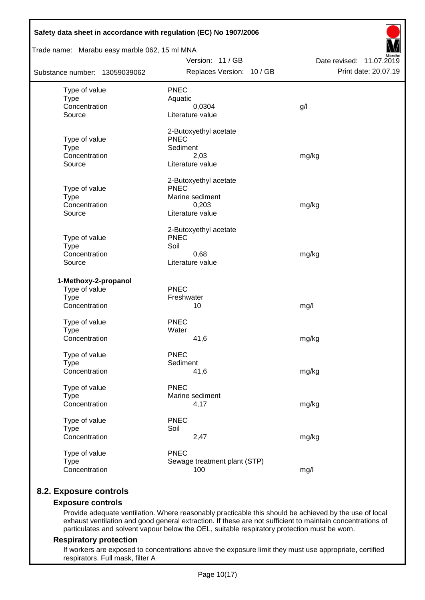| Trade name: Marabu easy marble 062, 15 ml MNA |                                      |                          |
|-----------------------------------------------|--------------------------------------|--------------------------|
|                                               | Version: 11 / GB                     | Date revised: 11.07.2019 |
| Substance number: 13059039062                 | Replaces Version: 10 / GB            | Print date: 20.07.19     |
| Type of value                                 | <b>PNEC</b>                          |                          |
| <b>Type</b>                                   | Aquatic                              |                          |
| Concentration                                 | 0,0304                               | g/l                      |
| Source                                        | Literature value                     |                          |
|                                               | 2-Butoxyethyl acetate                |                          |
| Type of value                                 | <b>PNEC</b>                          |                          |
| <b>Type</b>                                   | Sediment                             |                          |
| Concentration<br>Source                       | 2,03<br>Literature value             | mg/kg                    |
|                                               |                                      |                          |
| Type of value                                 | 2-Butoxyethyl acetate<br><b>PNEC</b> |                          |
| <b>Type</b>                                   | Marine sediment                      |                          |
| Concentration                                 | 0,203                                | mg/kg                    |
| Source                                        | Literature value                     |                          |
|                                               | 2-Butoxyethyl acetate                |                          |
| Type of value                                 | <b>PNEC</b>                          |                          |
| <b>Type</b>                                   | Soil                                 |                          |
| Concentration                                 | 0,68                                 | mg/kg                    |
| Source                                        | Literature value                     |                          |
| 1-Methoxy-2-propanol                          |                                      |                          |
| Type of value                                 | <b>PNEC</b>                          |                          |
| <b>Type</b>                                   | Freshwater                           |                          |
| Concentration                                 | 10                                   | mg/l                     |
| Type of value                                 | <b>PNEC</b>                          |                          |
| <b>Type</b>                                   | Water                                |                          |
| Concentration                                 | 41,6                                 | mg/kg                    |
| Type of value                                 | <b>PNEC</b>                          |                          |
| <b>Type</b>                                   | Sediment                             |                          |
| Concentration                                 | 41,6                                 | mg/kg                    |
| Type of value                                 | <b>PNEC</b>                          |                          |
| <b>Type</b>                                   | Marine sediment                      |                          |
| Concentration                                 | 4,17                                 | mg/kg                    |
| Type of value                                 | <b>PNEC</b>                          |                          |
| <b>Type</b>                                   | Soil                                 |                          |
| Concentration                                 | 2,47                                 | mg/kg                    |
| Type of value                                 | <b>PNEC</b>                          |                          |
|                                               |                                      |                          |
| <b>Type</b><br>Concentration                  | Sewage treatment plant (STP)<br>100  | mg/l                     |

## **8.2. Exposure controls**

### **Exposure controls**

Provide adequate ventilation. Where reasonably practicable this should be achieved by the use of local exhaust ventilation and good general extraction. If these are not sufficient to maintain concentrations of particulates and solvent vapour below the OEL, suitable respiratory protection must be worn.

### **Respiratory protection**

If workers are exposed to concentrations above the exposure limit they must use appropriate, certified respirators. Full mask, filter A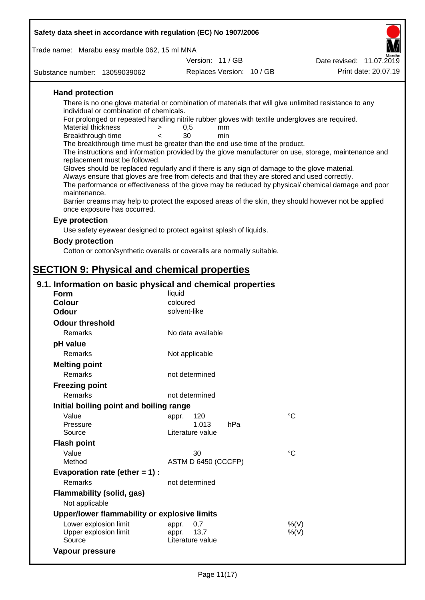| Safety data sheet in accordance with regulation (EC) No 1907/2006                                                                          |                                   |     |  |                                                                                                      |  |
|--------------------------------------------------------------------------------------------------------------------------------------------|-----------------------------------|-----|--|------------------------------------------------------------------------------------------------------|--|
| Trade name: Marabu easy marble 062, 15 ml MNA                                                                                              |                                   |     |  |                                                                                                      |  |
|                                                                                                                                            | Version: 11 / GB                  |     |  | Date revised: 11.07.2019                                                                             |  |
| Substance number: 13059039062                                                                                                              | Replaces Version: 10 / GB         |     |  | Print date: 20.07.19                                                                                 |  |
| <b>Hand protection</b>                                                                                                                     |                                   |     |  |                                                                                                      |  |
| There is no one glove material or combination of materials that will give unlimited resistance to any                                      |                                   |     |  |                                                                                                      |  |
| individual or combination of chemicals.<br>For prolonged or repeated handling nitrile rubber gloves with textile undergloves are required. |                                   |     |  |                                                                                                      |  |
| Material thickness<br>>                                                                                                                    | 0,5                               | mm  |  |                                                                                                      |  |
| Breakthrough time<br>$\epsilon$                                                                                                            | 30                                | min |  |                                                                                                      |  |
| The breakthrough time must be greater than the end use time of the product.                                                                |                                   |     |  | The instructions and information provided by the glove manufacturer on use, storage, maintenance and |  |
| replacement must be followed.                                                                                                              |                                   |     |  |                                                                                                      |  |
| Gloves should be replaced regularly and if there is any sign of damage to the glove material.                                              |                                   |     |  |                                                                                                      |  |
| Always ensure that gloves are free from defects and that they are stored and used correctly.                                               |                                   |     |  | The performance or effectiveness of the glove may be reduced by physical/ chemical damage and poor   |  |
| maintenance.                                                                                                                               |                                   |     |  |                                                                                                      |  |
|                                                                                                                                            |                                   |     |  | Barrier creams may help to protect the exposed areas of the skin, they should however not be applied |  |
| once exposure has occurred.                                                                                                                |                                   |     |  |                                                                                                      |  |
| Eye protection                                                                                                                             |                                   |     |  |                                                                                                      |  |
| Use safety eyewear designed to protect against splash of liquids.                                                                          |                                   |     |  |                                                                                                      |  |
| <b>Body protection</b>                                                                                                                     |                                   |     |  |                                                                                                      |  |
| Cotton or cotton/synthetic overalls or coveralls are normally suitable.                                                                    |                                   |     |  |                                                                                                      |  |
|                                                                                                                                            |                                   |     |  |                                                                                                      |  |
| <b>SECTION 9: Physical and chemical properties</b>                                                                                         |                                   |     |  |                                                                                                      |  |
| 9.1. Information on basic physical and chemical properties                                                                                 |                                   |     |  |                                                                                                      |  |
| <b>Form</b>                                                                                                                                | liquid                            |     |  |                                                                                                      |  |
| <b>Colour</b><br><b>Odour</b>                                                                                                              | coloured<br>solvent-like          |     |  |                                                                                                      |  |
|                                                                                                                                            |                                   |     |  |                                                                                                      |  |
| <b>Odour threshold</b><br>Remarks                                                                                                          | No data available                 |     |  |                                                                                                      |  |
|                                                                                                                                            |                                   |     |  |                                                                                                      |  |
| pH value<br>Remarks                                                                                                                        |                                   |     |  |                                                                                                      |  |
|                                                                                                                                            | Not applicable                    |     |  |                                                                                                      |  |
| <b>Melting point</b><br>Remarks                                                                                                            | not determined                    |     |  |                                                                                                      |  |
|                                                                                                                                            |                                   |     |  |                                                                                                      |  |
| <b>Freezing point</b><br>Remarks                                                                                                           | not determined                    |     |  |                                                                                                      |  |
| Initial boiling point and boiling range                                                                                                    |                                   |     |  |                                                                                                      |  |
| Value                                                                                                                                      | 120                               |     |  | $^{\circ}C$                                                                                          |  |
| Pressure                                                                                                                                   | appr.<br>1.013                    | hPa |  |                                                                                                      |  |
| Source                                                                                                                                     | Literature value                  |     |  |                                                                                                      |  |
| <b>Flash point</b>                                                                                                                         |                                   |     |  |                                                                                                      |  |
| Value                                                                                                                                      | 30                                |     |  | °C                                                                                                   |  |
| Method                                                                                                                                     | ASTM D 6450 (CCCFP)               |     |  |                                                                                                      |  |
| Evaporation rate (ether $= 1$ ) :                                                                                                          |                                   |     |  |                                                                                                      |  |
| Remarks                                                                                                                                    | not determined                    |     |  |                                                                                                      |  |
| <b>Flammability (solid, gas)</b><br>Not applicable                                                                                         |                                   |     |  |                                                                                                      |  |
| Upper/lower flammability or explosive limits                                                                                               |                                   |     |  |                                                                                                      |  |
| Lower explosion limit                                                                                                                      | 0,7<br>appr.                      |     |  | %(V)                                                                                                 |  |
| Upper explosion limit<br>Source                                                                                                            | 13,7<br>appr.<br>Literature value |     |  | $%$ (V)                                                                                              |  |
| Vapour pressure                                                                                                                            |                                   |     |  |                                                                                                      |  |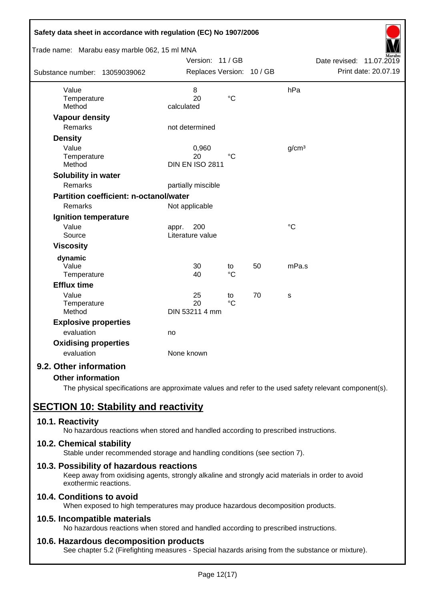| Safety data sheet in accordance with regulation (EC) No 1907/2006 |                           |                 |    |                   |                             |
|-------------------------------------------------------------------|---------------------------|-----------------|----|-------------------|-----------------------------|
| Trade name: Marabu easy marble 062, 15 ml MNA                     |                           |                 |    |                   |                             |
|                                                                   | Version: 11 / GB          |                 |    |                   | Date revised:<br>11.07.2019 |
| Substance number: 13059039062                                     | Replaces Version: 10 / GB |                 |    |                   | Print date: 20.07.19        |
| Value                                                             | 8                         |                 |    | hPa               |                             |
| Temperature                                                       | 20                        | $\rm ^{\circ}C$ |    |                   |                             |
| Method                                                            | calculated                |                 |    |                   |                             |
| <b>Vapour density</b>                                             |                           |                 |    |                   |                             |
| <b>Remarks</b>                                                    | not determined            |                 |    |                   |                             |
| <b>Density</b>                                                    |                           |                 |    |                   |                             |
| Value                                                             | 0,960                     |                 |    | g/cm <sup>3</sup> |                             |
| Temperature                                                       | 20                        | $^{\circ}C$     |    |                   |                             |
| Method                                                            | <b>DIN EN ISO 2811</b>    |                 |    |                   |                             |
| Solubility in water                                               |                           |                 |    |                   |                             |
| Remarks                                                           | partially miscible        |                 |    |                   |                             |
| <b>Partition coefficient: n-octanol/water</b>                     |                           |                 |    |                   |                             |
| Remarks                                                           | Not applicable            |                 |    |                   |                             |
| Ignition temperature                                              |                           |                 |    |                   |                             |
| Value                                                             | 200<br>appr.              |                 |    | $\rm ^{\circ}C$   |                             |
| Source                                                            | Literature value          |                 |    |                   |                             |
| <b>Viscosity</b>                                                  |                           |                 |    |                   |                             |
| dynamic                                                           |                           |                 |    |                   |                             |
| Value                                                             | 30                        | to              | 50 | mPa.s             |                             |
| Temperature                                                       | 40                        | $\rm ^{\circ}C$ |    |                   |                             |
| <b>Efflux time</b>                                                |                           |                 |    |                   |                             |
| Value                                                             | 25                        | to              | 70 | S                 |                             |
| Temperature                                                       | 20                        | $^{\circ}C$     |    |                   |                             |
| Method                                                            | DIN 53211 4 mm            |                 |    |                   |                             |
| <b>Explosive properties</b>                                       |                           |                 |    |                   |                             |
| evaluation                                                        | no                        |                 |    |                   |                             |
| <b>Oxidising properties</b>                                       |                           |                 |    |                   |                             |
| evaluation                                                        | None known                |                 |    |                   |                             |
| 9.2. Other information                                            |                           |                 |    |                   |                             |

### **Other information**

The physical specifications are approximate values and refer to the used safety relevant component(s).

# **SECTION 10: Stability and reactivity**

### **10.1. Reactivity**

No hazardous reactions when stored and handled according to prescribed instructions.

### **10.2. Chemical stability**

Stable under recommended storage and handling conditions (see section 7).

### **10.3. Possibility of hazardous reactions**

Keep away from oxidising agents, strongly alkaline and strongly acid materials in order to avoid exothermic reactions.

## **10.4. Conditions to avoid**

When exposed to high temperatures may produce hazardous decomposition products.

### **10.5. Incompatible materials**

No hazardous reactions when stored and handled according to prescribed instructions.

### **10.6. Hazardous decomposition products**

See chapter 5.2 (Firefighting measures - Special hazards arising from the substance or mixture).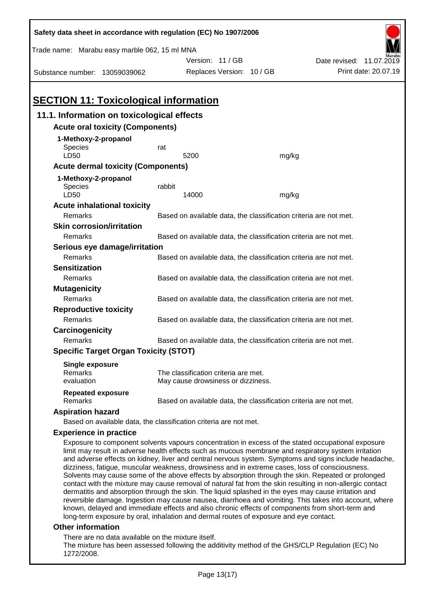| Safety data sheet in accordance with regulation (EC) No 1907/2006                                                                                                                                                                                                                                                                                                                                                                                                                                                                                                                                                                       |                                                                   |                                                                            |       |                                                                                                                                                                                                               |  |  |
|-----------------------------------------------------------------------------------------------------------------------------------------------------------------------------------------------------------------------------------------------------------------------------------------------------------------------------------------------------------------------------------------------------------------------------------------------------------------------------------------------------------------------------------------------------------------------------------------------------------------------------------------|-------------------------------------------------------------------|----------------------------------------------------------------------------|-------|---------------------------------------------------------------------------------------------------------------------------------------------------------------------------------------------------------------|--|--|
| Trade name: Marabu easy marble 062, 15 ml MNA                                                                                                                                                                                                                                                                                                                                                                                                                                                                                                                                                                                           |                                                                   |                                                                            |       |                                                                                                                                                                                                               |  |  |
|                                                                                                                                                                                                                                                                                                                                                                                                                                                                                                                                                                                                                                         |                                                                   | Version: 11 / GB                                                           |       | Date revised: 11.07.2019                                                                                                                                                                                      |  |  |
| Substance number: 13059039062                                                                                                                                                                                                                                                                                                                                                                                                                                                                                                                                                                                                           |                                                                   | Replaces Version: 10 / GB                                                  |       | Print date: 20.07.19                                                                                                                                                                                          |  |  |
|                                                                                                                                                                                                                                                                                                                                                                                                                                                                                                                                                                                                                                         |                                                                   |                                                                            |       |                                                                                                                                                                                                               |  |  |
| <b>SECTION 11: Toxicological information</b>                                                                                                                                                                                                                                                                                                                                                                                                                                                                                                                                                                                            |                                                                   |                                                                            |       |                                                                                                                                                                                                               |  |  |
| 11.1. Information on toxicological effects                                                                                                                                                                                                                                                                                                                                                                                                                                                                                                                                                                                              |                                                                   |                                                                            |       |                                                                                                                                                                                                               |  |  |
| <b>Acute oral toxicity (Components)</b>                                                                                                                                                                                                                                                                                                                                                                                                                                                                                                                                                                                                 |                                                                   |                                                                            |       |                                                                                                                                                                                                               |  |  |
| 1-Methoxy-2-propanol<br><b>Species</b><br>LD50                                                                                                                                                                                                                                                                                                                                                                                                                                                                                                                                                                                          | rat                                                               | 5200                                                                       | mg/kg |                                                                                                                                                                                                               |  |  |
| <b>Acute dermal toxicity (Components)</b>                                                                                                                                                                                                                                                                                                                                                                                                                                                                                                                                                                                               |                                                                   |                                                                            |       |                                                                                                                                                                                                               |  |  |
|                                                                                                                                                                                                                                                                                                                                                                                                                                                                                                                                                                                                                                         |                                                                   |                                                                            |       |                                                                                                                                                                                                               |  |  |
| 1-Methoxy-2-propanol<br>Species                                                                                                                                                                                                                                                                                                                                                                                                                                                                                                                                                                                                         | rabbit                                                            |                                                                            |       |                                                                                                                                                                                                               |  |  |
| LD50                                                                                                                                                                                                                                                                                                                                                                                                                                                                                                                                                                                                                                    |                                                                   | 14000                                                                      | mg/kg |                                                                                                                                                                                                               |  |  |
| <b>Acute inhalational toxicity</b>                                                                                                                                                                                                                                                                                                                                                                                                                                                                                                                                                                                                      |                                                                   |                                                                            |       |                                                                                                                                                                                                               |  |  |
| Remarks                                                                                                                                                                                                                                                                                                                                                                                                                                                                                                                                                                                                                                 |                                                                   | Based on available data, the classification criteria are not met.          |       |                                                                                                                                                                                                               |  |  |
| <b>Skin corrosion/irritation</b>                                                                                                                                                                                                                                                                                                                                                                                                                                                                                                                                                                                                        |                                                                   |                                                                            |       |                                                                                                                                                                                                               |  |  |
| Remarks                                                                                                                                                                                                                                                                                                                                                                                                                                                                                                                                                                                                                                 |                                                                   | Based on available data, the classification criteria are not met.          |       |                                                                                                                                                                                                               |  |  |
| Serious eye damage/irritation                                                                                                                                                                                                                                                                                                                                                                                                                                                                                                                                                                                                           |                                                                   |                                                                            |       |                                                                                                                                                                                                               |  |  |
| Remarks                                                                                                                                                                                                                                                                                                                                                                                                                                                                                                                                                                                                                                 |                                                                   | Based on available data, the classification criteria are not met.          |       |                                                                                                                                                                                                               |  |  |
| <b>Sensitization</b>                                                                                                                                                                                                                                                                                                                                                                                                                                                                                                                                                                                                                    |                                                                   |                                                                            |       |                                                                                                                                                                                                               |  |  |
| Remarks                                                                                                                                                                                                                                                                                                                                                                                                                                                                                                                                                                                                                                 | Based on available data, the classification criteria are not met. |                                                                            |       |                                                                                                                                                                                                               |  |  |
| <b>Mutagenicity</b>                                                                                                                                                                                                                                                                                                                                                                                                                                                                                                                                                                                                                     |                                                                   |                                                                            |       |                                                                                                                                                                                                               |  |  |
| Remarks                                                                                                                                                                                                                                                                                                                                                                                                                                                                                                                                                                                                                                 |                                                                   | Based on available data, the classification criteria are not met.          |       |                                                                                                                                                                                                               |  |  |
| <b>Reproductive toxicity</b>                                                                                                                                                                                                                                                                                                                                                                                                                                                                                                                                                                                                            |                                                                   |                                                                            |       |                                                                                                                                                                                                               |  |  |
| Remarks                                                                                                                                                                                                                                                                                                                                                                                                                                                                                                                                                                                                                                 | Based on available data, the classification criteria are not met. |                                                                            |       |                                                                                                                                                                                                               |  |  |
| Carcinogenicity                                                                                                                                                                                                                                                                                                                                                                                                                                                                                                                                                                                                                         |                                                                   |                                                                            |       |                                                                                                                                                                                                               |  |  |
| Remarks                                                                                                                                                                                                                                                                                                                                                                                                                                                                                                                                                                                                                                 |                                                                   | Based on available data, the classification criteria are not met.          |       |                                                                                                                                                                                                               |  |  |
| <b>Specific Target Organ Toxicity (STOT)</b>                                                                                                                                                                                                                                                                                                                                                                                                                                                                                                                                                                                            |                                                                   |                                                                            |       |                                                                                                                                                                                                               |  |  |
| <b>Single exposure</b><br>Remarks<br>evaluation                                                                                                                                                                                                                                                                                                                                                                                                                                                                                                                                                                                         |                                                                   | The classification criteria are met.<br>May cause drowsiness or dizziness. |       |                                                                                                                                                                                                               |  |  |
| <b>Repeated exposure</b><br>Remarks                                                                                                                                                                                                                                                                                                                                                                                                                                                                                                                                                                                                     |                                                                   | Based on available data, the classification criteria are not met.          |       |                                                                                                                                                                                                               |  |  |
| <b>Aspiration hazard</b>                                                                                                                                                                                                                                                                                                                                                                                                                                                                                                                                                                                                                |                                                                   |                                                                            |       |                                                                                                                                                                                                               |  |  |
| Based on available data, the classification criteria are not met.                                                                                                                                                                                                                                                                                                                                                                                                                                                                                                                                                                       |                                                                   |                                                                            |       |                                                                                                                                                                                                               |  |  |
| <b>Experience in practice</b>                                                                                                                                                                                                                                                                                                                                                                                                                                                                                                                                                                                                           |                                                                   |                                                                            |       |                                                                                                                                                                                                               |  |  |
| Exposure to component solvents vapours concentration in excess of the stated occupational exposure<br>limit may result in adverse health effects such as mucous membrane and respiratory system irritation<br>dizziness, fatigue, muscular weakness, drowsiness and in extreme cases, loss of consciousness.<br>Solvents may cause some of the above effects by absorption through the skin. Repeated or prolonged<br>contact with the mixture may cause removal of natural fat from the skin resulting in non-allergic contact<br>dermatitis and absorption through the skin. The liquid splashed in the eyes may cause irritation and |                                                                   |                                                                            |       | and adverse effects on kidney, liver and central nervous system. Symptoms and signs include headache,<br>reversible damage. Ingestion may cause nauseal diarrhoea and vomiting. This takes into account where |  |  |

reversible damage. Ingestion may cause nausea, diarrhoea and vomiting. This takes into account, where known, delayed and immediate effects and also chronic effects of components from short-term and long-term exposure by oral, inhalation and dermal routes of exposure and eye contact.

## **Other information**

There are no data available on the mixture itself.

The mixture has been assessed following the additivity method of the GHS/CLP Regulation (EC) No 1272/2008.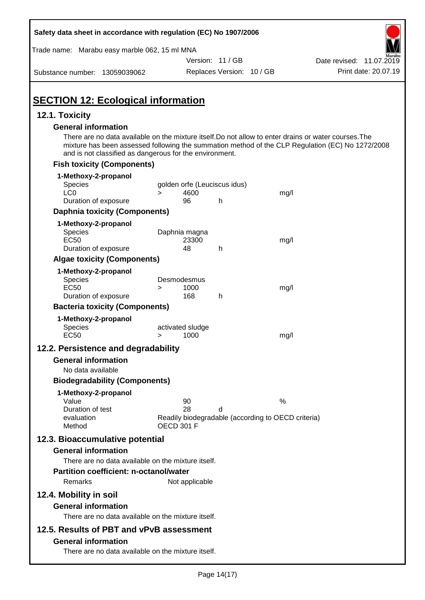| Safety data sheet in accordance with regulation (EC) No 1907/2006                                                                                                    |                       |                              |                           |                                                                                                                                                                                                           |
|----------------------------------------------------------------------------------------------------------------------------------------------------------------------|-----------------------|------------------------------|---------------------------|-----------------------------------------------------------------------------------------------------------------------------------------------------------------------------------------------------------|
| Trade name: Marabu easy marble 062, 15 ml MNA                                                                                                                        |                       |                              |                           |                                                                                                                                                                                                           |
|                                                                                                                                                                      |                       | Version: 11 / GB             |                           | Date revised: 11.07.2019                                                                                                                                                                                  |
| Substance number: 13059039062                                                                                                                                        |                       |                              | Replaces Version: 10 / GB | Print date: 20.07.19                                                                                                                                                                                      |
| <b>SECTION 12: Ecological information</b>                                                                                                                            |                       |                              |                           |                                                                                                                                                                                                           |
| 12.1. Toxicity                                                                                                                                                       |                       |                              |                           |                                                                                                                                                                                                           |
| <b>General information</b><br>and is not classified as dangerous for the environment.                                                                                |                       |                              |                           | There are no data available on the mixture itself. Do not allow to enter drains or water courses. The<br>mixture has been assessed following the summation method of the CLP Regulation (EC) No 1272/2008 |
| <b>Fish toxicity (Components)</b>                                                                                                                                    |                       |                              |                           |                                                                                                                                                                                                           |
| 1-Methoxy-2-propanol                                                                                                                                                 |                       |                              |                           |                                                                                                                                                                                                           |
| Species                                                                                                                                                              |                       | golden orfe (Leuciscus idus) |                           |                                                                                                                                                                                                           |
| LC <sub>0</sub>                                                                                                                                                      | $\geq$                | 4600                         |                           | mg/l                                                                                                                                                                                                      |
| Duration of exposure                                                                                                                                                 |                       | 96                           | h                         |                                                                                                                                                                                                           |
| <b>Daphnia toxicity (Components)</b>                                                                                                                                 |                       |                              |                           |                                                                                                                                                                                                           |
| 1-Methoxy-2-propanol<br>Species<br><b>EC50</b><br>Duration of exposure                                                                                               |                       | Daphnia magna<br>23300<br>48 | h                         | mg/l                                                                                                                                                                                                      |
| <b>Algae toxicity (Components)</b>                                                                                                                                   |                       |                              |                           |                                                                                                                                                                                                           |
| 1-Methoxy-2-propanol<br>Species<br><b>EC50</b><br>Duration of exposure                                                                                               | Desmodesmus<br>$\geq$ | 1000<br>168                  | h                         | mg/l                                                                                                                                                                                                      |
| <b>Bacteria toxicity (Components)</b>                                                                                                                                |                       |                              |                           |                                                                                                                                                                                                           |
| 1-Methoxy-2-propanol<br>Species<br><b>EC50</b>                                                                                                                       | >                     | activated sludge<br>1000     |                           | mg/l                                                                                                                                                                                                      |
| 12.2. Persistence and degradability                                                                                                                                  |                       |                              |                           |                                                                                                                                                                                                           |
| <b>General information</b>                                                                                                                                           |                       |                              |                           |                                                                                                                                                                                                           |
| No data available                                                                                                                                                    |                       |                              |                           |                                                                                                                                                                                                           |
| <b>Biodegradability (Components)</b>                                                                                                                                 |                       |                              |                           |                                                                                                                                                                                                           |
| 1-Methoxy-2-propanol<br>Value<br>Duration of test<br>evaluation<br>Method                                                                                            | <b>OECD 301 F</b>     | 90<br>28                     | d                         | %<br>Readily biodegradable (according to OECD criteria)                                                                                                                                                   |
| 12.3. Bioaccumulative potential<br><b>General information</b><br>There are no data available on the mixture itself.<br><b>Partition coefficient: n-octanol/water</b> |                       |                              |                           |                                                                                                                                                                                                           |
| Remarks                                                                                                                                                              |                       | Not applicable               |                           |                                                                                                                                                                                                           |
| 12.4. Mobility in soil<br><b>General information</b><br>There are no data available on the mixture itself.                                                           |                       |                              |                           |                                                                                                                                                                                                           |
| 12.5. Results of PBT and vPvB assessment<br><b>General information</b><br>There are no data available on the mixture itself.                                         |                       |                              |                           |                                                                                                                                                                                                           |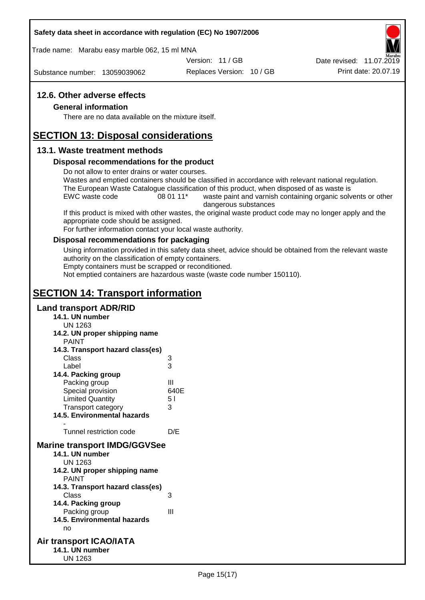### **Safety data sheet in accordance with regulation (EC) No 1907/2006**

Trade name: Marabu easy marble 062, 15 ml MNA

Version: 11 / GB

Substance number: 13059039062

Replaces Version: 10 / GB Print date: 20.07.19 Date revised: 11.07.2019

### **12.6. Other adverse effects**

### **General information**

There are no data available on the mixture itself.

## **SECTION 13: Disposal considerations**

### **13.1. Waste treatment methods**

### **Disposal recommendations for the product**

Do not allow to enter drains or water courses.

Wastes and emptied containers should be classified in accordance with relevant national regulation. The European Waste Catalogue classification of this product, when disposed of as waste is

EWC waste code 08 01 11<sup>\*</sup> waste paint and varnish containing organic solvents or other dangerous substances

If this product is mixed with other wastes, the original waste product code may no longer apply and the appropriate code should be assigned.

For further information contact your local waste authority.

### **Disposal recommendations for packaging**

Using information provided in this safety data sheet, advice should be obtained from the relevant waste authority on the classification of empty containers.

Empty containers must be scrapped or reconditioned.

Not emptied containers are hazardous waste (waste code number 150110).

# **SECTION 14: Transport information**

### **Land transport ADR/RID**

- **14.1. UN number**
	- UN 1263
- **14.2. UN proper shipping name**
- PAINT **14.3. Transport hazard class(es)** Class 3 Label 3 **14.4. Packing group** Packing group III Special provision 640E Limited Quantity 5 l Transport category 3 **14.5. Environmental hazards** - Tunnel restriction code D/E **Marine transport IMDG/GGVSee 14.1. UN number** UN 1263 **14.2. UN proper shipping name** PAINT **14.3. Transport hazard class(es)** Class 3 **14.4. Packing group** Packing group III **14.5. Environmental hazards**
	- no
- **Air transport ICAO/IATA 14.1. UN number** UN 1263

Page 15(17)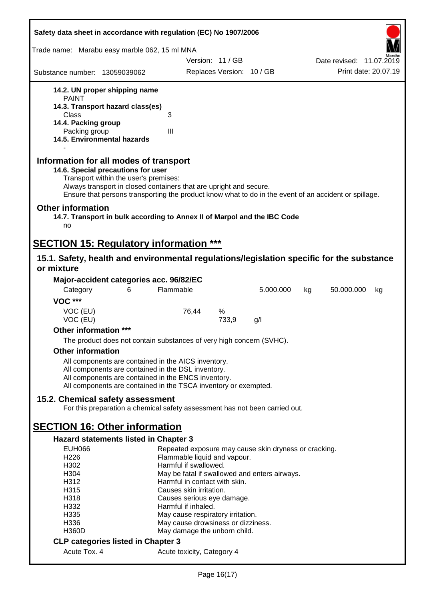| Safety data sheet in accordance with regulation (EC) No 1907/2006                                                                                                                                                                                                                                    |                                                                         |                           |           |    |                          |    |
|------------------------------------------------------------------------------------------------------------------------------------------------------------------------------------------------------------------------------------------------------------------------------------------------------|-------------------------------------------------------------------------|---------------------------|-----------|----|--------------------------|----|
| Trade name: Marabu easy marble 062, 15 ml MNA                                                                                                                                                                                                                                                        |                                                                         |                           |           |    |                          |    |
|                                                                                                                                                                                                                                                                                                      | Version: 11 / GB                                                        |                           |           |    | Date revised: 11.07.2019 |    |
| Substance number: 13059039062                                                                                                                                                                                                                                                                        |                                                                         | Replaces Version: 10 / GB |           |    | Print date: 20.07.19     |    |
| 14.2. UN proper shipping name                                                                                                                                                                                                                                                                        |                                                                         |                           |           |    |                          |    |
| <b>PAINT</b>                                                                                                                                                                                                                                                                                         |                                                                         |                           |           |    |                          |    |
| 14.3. Transport hazard class(es)                                                                                                                                                                                                                                                                     |                                                                         |                           |           |    |                          |    |
| Class<br>14.4. Packing group                                                                                                                                                                                                                                                                         | 3                                                                       |                           |           |    |                          |    |
| Packing group                                                                                                                                                                                                                                                                                        | III                                                                     |                           |           |    |                          |    |
| 14.5. Environmental hazards                                                                                                                                                                                                                                                                          |                                                                         |                           |           |    |                          |    |
| Information for all modes of transport<br>14.6. Special precautions for user<br>Transport within the user's premises:<br>Always transport in closed containers that are upright and secure.<br>Ensure that persons transporting the product know what to do in the event of an accident or spillage. |                                                                         |                           |           |    |                          |    |
| <b>Other information</b><br>14.7. Transport in bulk according to Annex II of Marpol and the IBC Code<br>no                                                                                                                                                                                           |                                                                         |                           |           |    |                          |    |
| <b>SECTION 15: Regulatory information ***</b>                                                                                                                                                                                                                                                        |                                                                         |                           |           |    |                          |    |
| 15.1. Safety, health and environmental regulations/legislation specific for the substance                                                                                                                                                                                                            |                                                                         |                           |           |    |                          |    |
| or mixture                                                                                                                                                                                                                                                                                           |                                                                         |                           |           |    |                          |    |
| Major-accident categories acc. 96/82/EC                                                                                                                                                                                                                                                              |                                                                         |                           |           |    |                          |    |
| Category<br>6                                                                                                                                                                                                                                                                                        | Flammable                                                               |                           | 5.000.000 | kg | 50.000.000               | kg |
| <b>VOC ***</b>                                                                                                                                                                                                                                                                                       |                                                                         |                           |           |    |                          |    |
| VOC (EU)                                                                                                                                                                                                                                                                                             | 76,44                                                                   | %                         |           |    |                          |    |
| VOC (EU)                                                                                                                                                                                                                                                                                             |                                                                         | 733,9                     | g/l       |    |                          |    |
| Other information ***                                                                                                                                                                                                                                                                                |                                                                         |                           |           |    |                          |    |
| The product does not contain substances of very high concern (SVHC).                                                                                                                                                                                                                                 |                                                                         |                           |           |    |                          |    |
| <b>Other information</b>                                                                                                                                                                                                                                                                             |                                                                         |                           |           |    |                          |    |
| All components are contained in the AICS inventory.                                                                                                                                                                                                                                                  |                                                                         |                           |           |    |                          |    |
| All components are contained in the DSL inventory.                                                                                                                                                                                                                                                   |                                                                         |                           |           |    |                          |    |
| All components are contained in the ENCS inventory.                                                                                                                                                                                                                                                  |                                                                         |                           |           |    |                          |    |
| All components are contained in the TSCA inventory or exempted.                                                                                                                                                                                                                                      |                                                                         |                           |           |    |                          |    |
| 15.2. Chemical safety assessment                                                                                                                                                                                                                                                                     |                                                                         |                           |           |    |                          |    |
| For this preparation a chemical safety assessment has not been carried out.                                                                                                                                                                                                                          |                                                                         |                           |           |    |                          |    |
|                                                                                                                                                                                                                                                                                                      |                                                                         |                           |           |    |                          |    |
| <b>SECTION 16: Other information</b>                                                                                                                                                                                                                                                                 |                                                                         |                           |           |    |                          |    |
| <b>Hazard statements listed in Chapter 3</b>                                                                                                                                                                                                                                                         |                                                                         |                           |           |    |                          |    |
| <b>EUH066</b>                                                                                                                                                                                                                                                                                        | Repeated exposure may cause skin dryness or cracking.                   |                           |           |    |                          |    |
| H226<br>H <sub>302</sub>                                                                                                                                                                                                                                                                             | Flammable liquid and vapour.<br>Harmful if swallowed.                   |                           |           |    |                          |    |
| H304                                                                                                                                                                                                                                                                                                 | May be fatal if swallowed and enters airways.                           |                           |           |    |                          |    |
| H312                                                                                                                                                                                                                                                                                                 | Harmful in contact with skin.                                           |                           |           |    |                          |    |
| H315                                                                                                                                                                                                                                                                                                 | Causes skin irritation.                                                 |                           |           |    |                          |    |
| H318                                                                                                                                                                                                                                                                                                 | Causes serious eye damage.                                              |                           |           |    |                          |    |
| H332<br>H335                                                                                                                                                                                                                                                                                         | Harmful if inhaled.                                                     |                           |           |    |                          |    |
| H336                                                                                                                                                                                                                                                                                                 | May cause respiratory irritation.<br>May cause drowsiness or dizziness. |                           |           |    |                          |    |
| <b>H360D</b>                                                                                                                                                                                                                                                                                         | May damage the unborn child.                                            |                           |           |    |                          |    |
| <b>CLP categories listed in Chapter 3</b>                                                                                                                                                                                                                                                            |                                                                         |                           |           |    |                          |    |
| Acute Tox. 4                                                                                                                                                                                                                                                                                         | Acute toxicity, Category 4                                              |                           |           |    |                          |    |
|                                                                                                                                                                                                                                                                                                      |                                                                         |                           |           |    |                          |    |